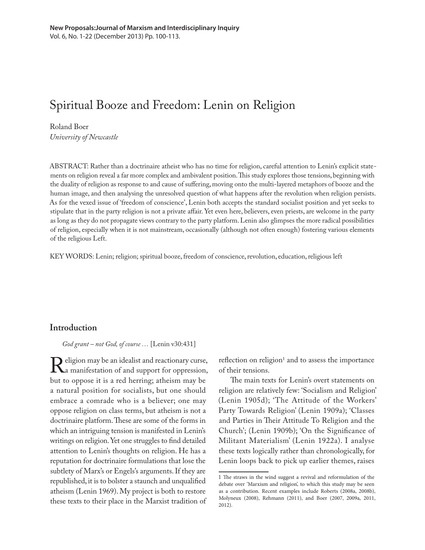# Spiritual Booze and Freedom: Lenin on Religion

Roland Boer *University of Newcastle*

ABSTRACT: Rather than a doctrinaire atheist who has no time for religion, careful attention to Lenin's explicit statements on religion reveal a far more complex and ambivalent position. This study explores those tensions, beginning with the duality of religion as response to and cause of suffering, moving onto the multi-layered metaphors of booze and the human image, and then analysing the unresolved question of what happens after the revolution when religion persists. As for the vexed issue of 'freedom of conscience', Lenin both accepts the standard socialist position and yet seeks to stipulate that in the party religion is not a private affair. Yet even here, believers, even priests, are welcome in the party as long as they do not propagate views contrary to the party platform. Lenin also glimpses the more radical possibilities of religion, especially when it is not mainstream, occasionally (although not often enough) fostering various elements of the religious Left.

KEY WORDS: Lenin; religion; spiritual booze, freedom of conscience, revolution, education, religious left

## **Introduction**

*God grant – not God, of course …* [Lenin v30:431]

Religion may be an idealist and reactionary curse,<br>a manifestation of and support for oppression,<br>but to oppose it is a red herring: atheism may be a manifestation of and support for oppression, but to oppose it is a red herring; atheism may be a natural position for socialists, but one should embrace a comrade who is a believer; one may oppose religion on class terms, but atheism is not a doctrinaire platform. These are some of the forms in which an intriguing tension is manifested in Lenin's writings on religion. Yet one struggles to find detailed attention to Lenin's thoughts on religion. He has a reputation for doctrinaire formulations that lose the subtlety of Marx's or Engels's arguments. If they are republished, it is to bolster a staunch and unqualified atheism (Lenin 1969). My project is both to restore these texts to their place in the Marxist tradition of

reflection on religion<sup>1</sup> and to assess the importance of their tensions.

The main texts for Lenin's overt statements on religion are relatively few: 'Socialism and Religion' (Lenin 1905d); 'The Attitude of the Workers' Party Towards Religion' (Lenin 1909a); 'Classes and Parties in Their Attitude To Religion and the Church'; (Lenin 1909b); 'On the Significance of Militant Materialism' (Lenin 1922a). I analyse these texts logically rather than chronologically, for Lenin loops back to pick up earlier themes, raises

<sup>1</sup> The straws in the wind suggest a revival and reformulation of the debate over 'Marxism and religion', to which this study may be seen as a contribution. Recent examples include Roberts (2008a, 2008b), Molyneux (2008), Rehmann (2011), and Boer (2007, 2009a, 2011, 2012).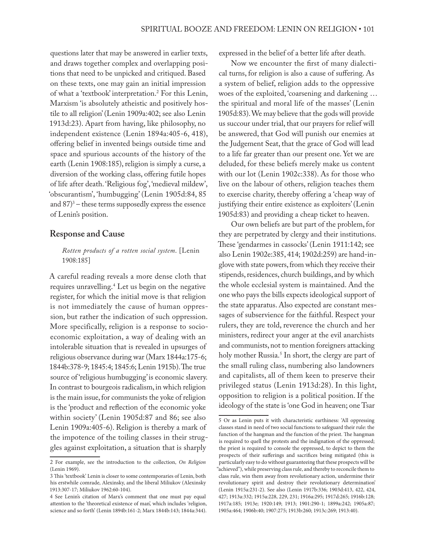questions later that may be answered in earlier texts, and draws together complex and overlapping positions that need to be unpicked and critiqued. Based on these texts, one may gain an initial impression of what a 'textbook' interpretation.2 For this Lenin, Marxism 'is absolutely atheistic and positively hostile to all religion' (Lenin 1909a:402; see also Lenin 1913d:23). Apart from having, like philosophy, no independent existence (Lenin 1894a:405-6, 418), offering belief in invented beings outside time and space and spurious accounts of the history of the earth (Lenin 1908:185), religion is simply a curse, a diversion of the working class, offering futile hopes of life after death. 'Religious fog', 'medieval mildew', 'obscurantism', 'humbugging' (Lenin 1905d:84, 85 and 87)3 – these terms supposedly express the essence of Lenin's position.

#### **Response and Cause**

*Rotten products of a rotten social system*. [Lenin 1908:185]

A careful reading reveals a more dense cloth that requires unravelling.4 Let us begin on the negative register, for which the initial move is that religion is not immediately the cause of human oppression, but rather the indication of such oppression. More specifically, religion is a response to socioeconomic exploitation, a way of dealing with an intolerable situation that is revealed in upsurges of religious observance during war (Marx 1844a:175-6; 1844b:378-9; 1845:4; 1845:6; Lenin 1915b). The true source of 'religious humbugging' is economic slavery. In contrast to bourgeois radicalism, in which religion is the main issue, for communists the yoke of religion is the 'product and reflection of the economic yoke within society' (Lenin 1905d:87 and 86; see also Lenin 1909a:405-6). Religion is thereby a mark of the impotence of the toiling classes in their struggles against exploitation, a situation that is sharply

expressed in the belief of a better life after death.

Now we encounter the first of many dialectical turns, for religion is also a cause of suffering. As a system of belief, religion adds to the oppressive woes of the exploited, 'coarsening and darkening … the spiritual and moral life of the masses' (Lenin 1905d:83). We may believe that the gods will provide us succour under trial, that our prayers for relief will be answered, that God will punish our enemies at the Judgement Seat, that the grace of God will lead to a life far greater than our present one. Yet we are deluded, for these beliefs merely make us content with our lot (Lenin 1902c:338). As for those who live on the labour of others, religion teaches them to exercise charity, thereby offering a 'cheap way of justifying their entire existence as exploiters' (Lenin 1905d:83) and providing a cheap ticket to heaven.

Our own beliefs are but part of the problem, for they are perpetrated by clergy and their institutions. These 'gendarmes in cassocks' (Lenin 1911:142; see also Lenin 1902e:385, 414; 1902d:259) are hand-inglove with state powers, from which they receive their stipends, residences, church buildings, and by which the whole ecclesial system is maintained. And the one who pays the bills expects ideological support of the state apparatus. Also expected are constant messages of subservience for the faithful. Respect your rulers, they are told, reverence the church and her ministers, redirect your anger at the evil anarchists and communists, not to mention foreigners attacking holy mother Russia.5 In short, the clergy are part of the small ruling class, numbering also landowners and capitalists, all of them keen to preserve their privileged status (Lenin 1913d:28). In this light, opposition to religion is a political position. If the ideology of the state is 'one God in heaven; one Tsar

<sup>2</sup> For example, see the introduction to the collection, *On Religion*  (Lenin 1969).

<sup>3</sup> This 'textbook' Lenin is closer to some contemporaries of Lenin, both his erstwhile comrade, Alexinsky, and the liberal Miliukov (Alexinsky 1913:307-17; Miliukov 1962:60-104).

<sup>4</sup> See Lenin's citation of Marx's comment that one must pay equal attention to the 'theoretical existence of man', which includes 'religion, science and so forth' (Lenin 1894b:161-2; Marx 1844b:143; 1844a:344).

<sup>5</sup> Or as Lenin puts it with characteristic earthiness: 'All oppressing classes stand in need of two social functions to safeguard their rule: the function of the hangman and the function of the priest. The hangman is required to quell the protests and the indignation of the oppressed; the priest is required to console the oppressed, to depict to them the prospects of their sufferings and sacrifices being mitigated (this is particularly easy to do without guaranteeing that these prospects will be "achieved"), while preserving class rule, and thereby to reconcile them to class rule, win them away from revolutionary action, undermine their revolutionary spirit and destroy their revolutionary determination' (Lenin 1915a:231-2). See also (Lenin 1917b:336; 1903d:413, 422, 424, 427; 1913a:332; 1915a:228, 229, 231; 1916a:295; 1917d:265; 1916b:128; 1917a:185; 1913e; 1920:149; 1913; 1901:290-1; 1899a:242; 1905a:87; 1905a:464; 1906b:40; 1907:275; 1913b:260; 1913c:269; 1913:40).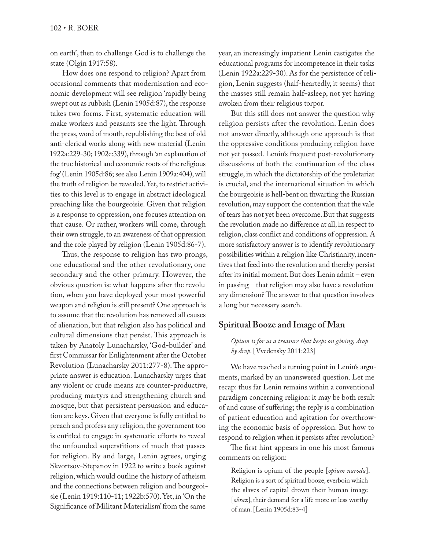on earth', then to challenge God is to challenge the state (Olgin 1917:58).

How does one respond to religion? Apart from occasional comments that modernisation and economic development will see religion 'rapidly being swept out as rubbish (Lenin 1905d:87), the response takes two forms. First, systematic education will make workers and peasants see the light. Through the press, word of mouth, republishing the best of old anti-clerical works along with new material (Lenin 1922a:229-30; 1902c:339), through 'an explanation of the true historical and economic roots of the religious fog' (Lenin 1905d:86; see also Lenin 1909a:404), will the truth of religion be revealed. Yet, to restrict activities to this level is to engage in abstract ideological preaching like the bourgeoisie. Given that religion is a response to oppression, one focuses attention on that cause. Or rather, workers will come, through their own struggle, to an awareness of that oppression and the role played by religion (Lenin 1905d:86-7).

Thus, the response to religion has two prongs, one educational and the other revolutionary, one secondary and the other primary. However, the obvious question is: what happens after the revolution, when you have deployed your most powerful weapon and religion is still present? One approach is to assume that the revolution has removed all causes of alienation, but that religion also has political and cultural dimensions that persist. This approach is taken by Anatoly Lunacharsky, 'God-builder' and first Commissar for Enlightenment after the October Revolution (Lunacharsky 2011:277-8). The appropriate answer is education. Lunacharsky urges that any violent or crude means are counter-productive, producing martyrs and strengthening church and mosque, but that persistent persuasion and education are keys. Given that everyone is fully entitled to preach and profess any religion, the government too is entitled to engage in systematic efforts to reveal the unfounded superstitions of much that passes for religion. By and large, Lenin agrees, urging Skvortsov-Stepanov in 1922 to write a book against religion, which would outline the history of atheism and the connections between religion and bourgeoisie (Lenin 1919:110-11; 1922b:570). Yet, in 'On the Significance of Militant Materialism' from the same

year, an increasingly impatient Lenin castigates the educational programs for incompetence in their tasks (Lenin 1922a:229-30). As for the persistence of religion, Lenin suggests (half-heartedly, it seems) that the masses still remain half-asleep, not yet having awoken from their religious torpor.

But this still does not answer the question why religion persists after the revolution. Lenin does not answer directly, although one approach is that the oppressive conditions producing religion have not yet passed. Lenin's frequent post-revolutionary discussions of both the continuation of the class struggle, in which the dictatorship of the proletariat is crucial, and the international situation in which the bourgeoisie is hell-bent on thwarting the Russian revolution, may support the contention that the vale of tears has not yet been overcome. But that suggests the revolution made no difference at all, in respect to religion, class conflict and conditions of oppression. A more satisfactory answer is to identify revolutionary possibilities within a religion like Christianity, incentives that feed into the revolution and thereby persist after its initial moment. But does Lenin admit – even in passing – that religion may also have a revolutionary dimension? The answer to that question involves a long but necessary search.

# **Spiritual Booze and Image of Man**

#### *Opium is for us a treasure that keeps on giving, drop by drop*. [Vvedensky 2011:223]

We have reached a turning point in Lenin's arguments, marked by an unanswered question. Let me recap: thus far Lenin remains within a conventional paradigm concerning religion: it may be both result of and cause of suffering; the reply is a combination of patient education and agitation for overthrowing the economic basis of oppression. But how to respond to religion when it persists after revolution?

The first hint appears in one his most famous comments on religion:

Religion is opium of the people [*opium naroda*]. Religion is a sort of spiritual booze, everboin which the slaves of capital drown their human image [*obraz*], their demand for a life more or less worthy of man. [Lenin 1905d:83-4]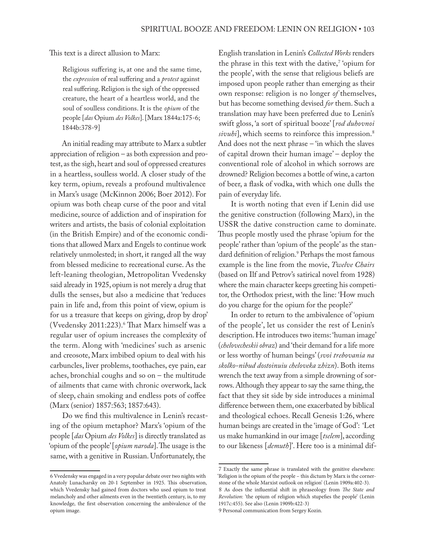This text is a direct allusion to Marx:

Religious suffering is, at one and the same time, the *expression* of real suffering and a *protest* against real suffering. Religion is the sigh of the oppressed creature, the heart of a heartless world, and the soul of soulless conditions. It is the *opium* of the people [*das* Opium *des Volkes*]. [Marx 1844a:175-6; 1844b:378-9]

An initial reading may attribute to Marx a subtler appreciation of religion – as both expression and protest, as the sigh, heart and soul of oppressed creatures in a heartless, soulless world. A closer study of the key term, opium, reveals a profound multivalence in Marx's usage (McKinnon 2006; Boer 2012). For opium was both cheap curse of the poor and vital medicine, source of addiction and of inspiration for writers and artists, the basis of colonial exploitation (in the British Empire) and of the economic conditions that allowed Marx and Engels to continue work relatively unmolested; in short, it ranged all the way from blessed medicine to recreational curse. As the left-leaning theologian, Metropolitan Vvedensky said already in 1925, opium is not merely a drug that dulls the senses, but also a medicine that 'reduces pain in life and, from this point of view, opium is for us a treasure that keeps on giving, drop by drop' (Vvedensky 2011:223).6 That Marx himself was a regular user of opium increases the complexity of the term. Along with 'medicines' such as arsenic and creosote, Marx imbibed opium to deal with his carbuncles, liver problems, toothaches, eye pain, ear aches, bronchial coughs and so on – the multitude of ailments that came with chronic overwork, lack of sleep, chain smoking and endless pots of coffee (Marx (senior) 1857:563; 1857:643).

Do we find this multivalence in Lenin's recasting of the opium metaphor? Marx's 'opium of the people [*das* Opium *des Volkes*] is directly translated as 'opium of the people' [*opium naroda*]. The usage is the same, with a genitive in Russian. Unfortunately, the

English translation in Lenin's *Collected Works* renders the phrase in this text with the dative,7 'opium for the people', with the sense that religious beliefs are imposed upon people rather than emerging as their own response: religion is no longer *of* themselves, but has become something devised *for* them. Such a translation may have been preferred due to Lenin's swift gloss, 'a sort of spiritual booze' [*rod duhovnoi sivuhi*], which seems to reinforce this impression.<sup>8</sup> And does not the next phrase – 'in which the slaves of capital drown their human image' – deploy the conventional role of alcohol in which sorrows are drowned? Religion becomes a bottle of wine, a carton of beer, a flask of vodka, with which one dulls the pain of everyday life.

It is worth noting that even if Lenin did use the genitive construction (following Marx), in the USSR the dative construction came to dominate. Thus people mostly used the phrase 'opium for the people' rather than 'opium of the people' as the standard definition of religion.9 Perhaps the most famous example is the line from the movie, *Twelve Chairs* (based on Ilf and Petrov's satirical novel from 1928) where the main character keeps greeting his competitor, the Orthodox priest, with the line: 'How much do you charge for the opium for the people?'

In order to return to the ambivalence of 'opium of the people', let us consider the rest of Lenin's description. He introduces two items: 'human image' (*chelovecheskii obraz*) and 'their demand for a life more or less worthy of human beings' (*svoi trebovania na skolko-nibud dostoinuiu cheloveka zhizn*). Both items wrench the text away from a simple drowning of sorrows. Although they appear to say the same thing, the fact that they sit side by side introduces a minimal difference between them, one exacerbated by biblical and theological echoes. Recall Genesis 1:26, where human beings are created in the 'image of God': 'Let us make humankind in our image [*tselem*], according to our likeness [*demuth*]'. Here too is a minimal dif-

<sup>6</sup> Vvedensky was engaged in a very popular debate over two nights with Anatoly Lunacharsky on 20-1 September in 1925. This observation, which Vvedensky had gained from doctors who used opium to treat melancholy and other ailments even in the twentieth century, is, to my knowledge, the first observation concerning the ambivalence of the opium image.

<sup>7</sup> Exactly the same phrase is translated with the genitive elsewhere: 'Religion is the opium of the people – this dictum by Marx is the cornerstone of the whole Marxist outlook on religion' (Lenin 1909a:402-3).

<sup>8</sup> As does the influential shift in phraseology from *The State and Revolution*: 'the opium of religion which stupefies the people' (Lenin 1917c:455). See also (Lenin 1909b:422-3)

<sup>9</sup> Personal communication from Sergey Kozin.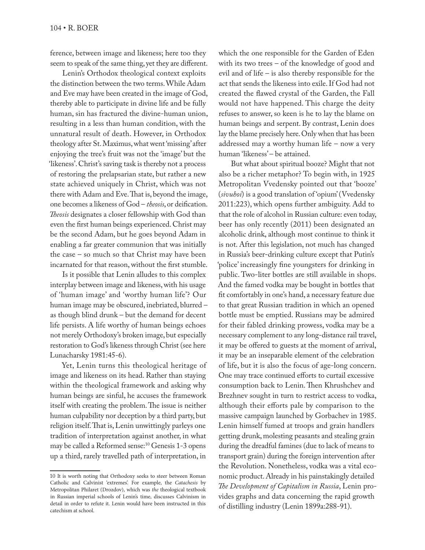ference, between image and likeness; here too they seem to speak of the same thing, yet they are different.

Lenin's Orthodox theological context exploits the distinction between the two terms. While Adam and Eve may have been created in the image of God, thereby able to participate in divine life and be fully human, sin has fractured the divine-human union, resulting in a less than human condition, with the unnatural result of death. However, in Orthodox theology after St. Maximus, what went 'missing' after enjoying the tree's fruit was not the 'image' but the 'likeness'. Christ's saving task is thereby not a process of restoring the prelapsarian state, but rather a new state achieved uniquely in Christ, which was not there with Adam and Eve. That is, beyond the image, one becomes a likeness of God – *theosis*, or deification. *Theosis* designates a closer fellowship with God than even the first human beings experienced. Christ may be the second Adam, but he goes beyond Adam in enabling a far greater communion that was initially the case – so much so that Christ may have been incarnated for that reason, without the first stumble.

Is it possible that Lenin alludes to this complex interplay between image and likeness, with his usage of 'human image' and 'worthy human life'? Our human image may be obscured, inebriated, blurred – as though blind drunk – but the demand for decent life persists. A life worthy of human beings echoes not merely Orthodoxy's broken image, but especially restoration to God's likeness through Christ (see here Lunacharsky 1981:45-6).

Yet, Lenin turns this theological heritage of image and likeness on its head. Rather than staying within the theological framework and asking why human beings are sinful, he accuses the framework itself with creating the problem. The issue is neither human culpability nor deception by a third party, but religion itself. That is, Lenin unwittingly parleys one tradition of interpretation against another, in what may be called a Reformed sense:<sup>10</sup> Genesis 1-3 opens up a third, rarely travelled path of interpretation, in

which the one responsible for the Garden of Eden with its two trees – of the knowledge of good and evil and of life – is also thereby responsible for the act that sends the likeness into exile. If God had not created the flawed crystal of the Garden, the Fall would not have happened. This charge the deity refuses to answer, so keen is he to lay the blame on human beings and serpent. By contrast, Lenin does lay the blame precisely here. Only when that has been addressed may a worthy human life – now a very human 'likeness' – be attained.

But what about spiritual booze? Might that not also be a richer metaphor? To begin with, in 1925 Metropolitan Vvedensky pointed out that 'booze' (*sivuhoi*) is a good translation of 'opium' (Vvedensky 2011:223), which opens further ambiguity. Add to that the role of alcohol in Russian culture: even today, beer has only recently (2011) been designated an alcoholic drink, although most continue to think it is not. After this legislation, not much has changed in Russia's beer-drinking culture except that Putin's 'police' increasingly fine youngsters for drinking in public. Two-liter bottles are still available in shops. And the famed vodka may be bought in bottles that fit comfortably in one's hand, a necessary feature due to that great Russian tradition in which an opened bottle must be emptied. Russians may be admired for their fabled drinking prowess, vodka may be a necessary complement to any long-distance rail travel, it may be offered to guests at the moment of arrival, it may be an inseparable element of the celebration of life, but it is also the focus of age-long concern. One may trace continued efforts to curtail excessive consumption back to Lenin. Then Khrushchev and Brezhnev sought in turn to restrict access to vodka, although their efforts pale by comparison to the massive campaign launched by Gorbachev in 1985. Lenin himself fumed at troops and grain handlers getting drunk, molesting peasants and stealing grain during the dreadful famines (due to lack of means to transport grain) during the foreign intervention after the Revolution. Nonetheless, vodka was a vital economic product. Already in his painstakingly detailed *The Development of Capitalism in Russia*, Lenin provides graphs and data concerning the rapid growth of distilling industry (Lenin 1899a:288-91).

<sup>10</sup> It is worth noting that Orthodoxy seeks to steer between Roman Catholic and Calvinist 'extremes'. For example, the *Catachesis* by Metropolitan Philaret (Drozdov), which was *the* theological textbook in Russian imperial schools of Lenin's time, discusses Calvinism in detail in order to refute it. Lenin would have been instructed in this catechism at school.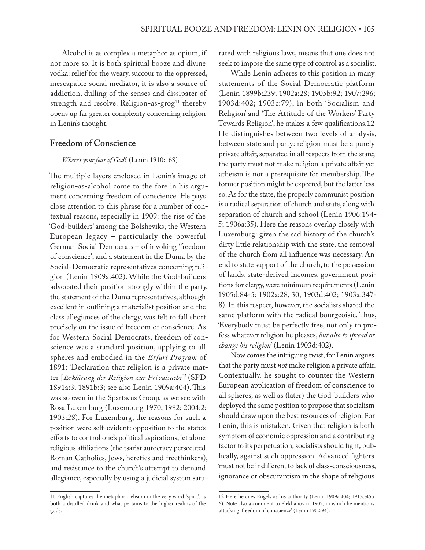Alcohol is as complex a metaphor as opium, if not more so. It is both spiritual booze and divine vodka: relief for the weary, succour to the oppressed, inescapable social mediator, it is also a source of addiction, dulling of the senses and dissipater of strength and resolve. Religion-as-grog<sup>11</sup> thereby opens up far greater complexity concerning religion in Lenin's thought.

## **Freedom of Conscience**

#### *Where's your fear of God?* (Lenin 1910:168)

The multiple layers enclosed in Lenin's image of religion-as-alcohol come to the fore in his argument concerning freedom of conscience. He pays close attention to this phrase for a number of contextual reasons, especially in 1909: the rise of the 'God-builders' among the Bolsheviks; the Western European legacy – particularly the powerful German Social Democrats – of invoking 'freedom of conscience'; and a statement in the Duma by the Social-Democratic representatives concerning religion (Lenin 1909a:402). While the God-builders advocated their position strongly within the party, the statement of the Duma representatives, although excellent in outlining a materialist position and the class allegiances of the clergy, was felt to fall short precisely on the issue of freedom of conscience. As for Western Social Democrats, freedom of conscience was a standard position, applying to all spheres and embodied in the *Erfurt Program* of 1891: 'Declaration that religion is a private matter [*Erklärung der Religion zur Privatsache*]' (SPD 1891a:3; 1891b:3; see also Lenin 1909a:404). This was so even in the Spartacus Group, as we see with Rosa Luxemburg (Luxemburg 1970, 1982; 2004:2; 1903:28). For Luxemburg, the reasons for such a position were self-evident: opposition to the state's efforts to control one's political aspirations, let alone religious affiliations (the tsarist autocracy persecuted Roman Catholics, Jews, heretics and freethinkers), and resistance to the church's attempt to demand allegiance, especially by using a judicial system saturated with religious laws, means that one does not seek to impose the same type of control as a socialist.

While Lenin adheres to this position in many statements of the Social Democratic platform (Lenin 1899b:239; 1902a:28; 1905b:92; 1907:296; 1903d:402; 1903c:79), in both 'Socialism and Religion' and 'The Attitude of the Workers' Party Towards Religion', he makes a few qualifications.12 He distinguishes between two levels of analysis, between state and party: religion must be a purely private affair, separated in all respects from the state; the party must not make religion a private affair yet atheism is not a prerequisite for membership. The former position might be expected, but the latter less so. As for the state, the properly communist position is a radical separation of church and state, along with separation of church and school (Lenin 1906:194- 5; 1906a:35). Here the reasons overlap closely with Luxemburg: given the sad history of the church's dirty little relationship with the state, the removal of the church from all influence was necessary. An end to state support of the church, to the possession of lands, state-derived incomes, government positions for clergy, were minimum requirements (Lenin 1905d:84-5; 1902a:28, 30; 1903d:402; 1903a:347- 8). In this respect, however, the socialists shared the same platform with the radical bourgeoisie. Thus, 'Everybody must be perfectly free, not only to profess whatever religion he pleases, *but also to spread or change his religion'* (Lenin 1903d:402).

Now comes the intriguing twist, for Lenin argues that the party must *not* make religion a private affair. Contextually, he sought to counter the Western European application of freedom of conscience to all spheres, as well as (later) the God-builders who deployed the same position to propose that socialism should draw upon the best resources of religion. For Lenin, this is mistaken. Given that religion is both symptom of economic oppression and a contributing factor to its perpetuation, socialists should fight, publically, against such oppression. Advanced fighters 'must not be indifferent to lack of class-consciousness, ignorance or obscurantism in the shape of religious

<sup>11</sup> English captures the metaphoric elision in the very word 'spirit', as both a distilled drink and what pertains to the higher realms of the gods.

<sup>12</sup> Here he cites Engels as his authority (Lenin 1909a:404; 1917c:455- 6). Note also a comment to Plekhanov in 1902, in which he mentions attacking 'freedom of conscience' (Lenin 1902:94).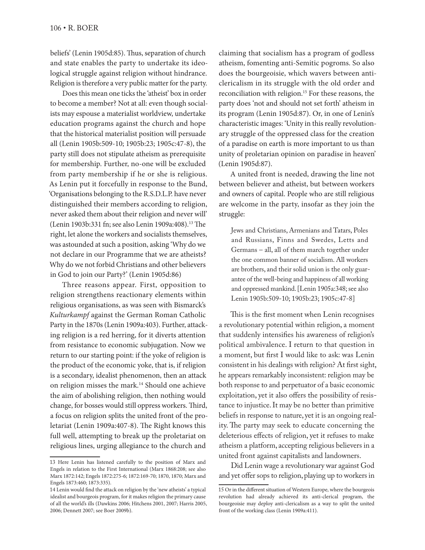beliefs' (Lenin 1905d:85). Thus, separation of church and state enables the party to undertake its ideological struggle against religion without hindrance. Religion is therefore a very public matter for the party.

Does this mean one ticks the 'atheist' box in order to become a member? Not at all: even though socialists may espouse a materialist worldview, undertake education programs against the church and hope that the historical materialist position will persuade all (Lenin 1905b:509-10; 1905b:23; 1905c:47-8), the party still does not stipulate atheism as prerequisite for membership. Further, no-one will be excluded from party membership if he or she is religious. As Lenin put it forcefully in response to the Bund, 'Organisations belonging to the R.S.D.L.P. have never distinguished their members according to religion, never asked them about their religion and never will' (Lenin 1903b:331 fn; see also Lenin 1909a:408).<sup>13</sup> The right, let alone the workers and socialists themselves, was astounded at such a position, asking 'Why do we not declare in our Programme that we are atheists? Why do we not forbid Christians and other believers in God to join our Party?' (Lenin 1905d:86)

Three reasons appear. First, opposition to religion strengthens reactionary elements within religious organisations, as was seen with Bismarck's *Kulturkampf* against the German Roman Catholic Party in the 1870s (Lenin 1909a:403). Further, attacking religion is a red herring, for it diverts attention from resistance to economic subjugation. Now we return to our starting point: if the yoke of religion is the product of the economic yoke, that is, if religion is a secondary, idealist phenomenon, then an attack on religion misses the mark.14 Should one achieve the aim of abolishing religion, then nothing would change, for bosses would still oppress workers. Third, a focus on religion splits the united front of the proletariat (Lenin 1909a:407-8). The Right knows this full well, attempting to break up the proletariat on religious lines, urging allegiance to the church and

claiming that socialism has a program of godless atheism, fomenting anti-Semitic pogroms. So also does the bourgeoisie, which wavers between anticlericalism in its struggle with the old order and reconciliation with religion.15 For these reasons, the party does 'not and should not set forth' atheism in its program (Lenin 1905d:87). Or, in one of Lenin's characteristic images: 'Unity in this really revolutionary struggle of the oppressed class for the creation of a paradise on earth is more important to us than unity of proletarian opinion on paradise in heaven' (Lenin 1905d:87).

A united front is needed, drawing the line not between believer and atheist, but between workers and owners of capital. People who are still religious are welcome in the party, insofar as they join the struggle:

Jews and Christians, Armenians and Tatars, Poles and Russians, Finns and Swedes, Letts and Germans – all, all of them march together under the one common banner of socialism. All workers are brothers, and their solid union is the only guarantee of the well-being and happiness of all working and oppressed mankind. [Lenin 1905a:348; see also Lenin 1905b:509-10; 1905b:23; 1905c:47-8]

This is the first moment when Lenin recognises a revolutionary potential within religion, a moment that suddenly intensifies his awareness of religion's political ambivalence. I return to that question in a moment, but first I would like to ask: was Lenin consistent in his dealings with religion? At first sight, he appears remarkably inconsistent: religion may be both response to and perpetuator of a basic economic exploitation, yet it also offers the possibility of resistance to injustice. It may be no better than primitive beliefs in response to nature, yet it is an ongoing reality. The party may seek to educate concerning the deleterious effects of religion, yet it refuses to make atheism a platform, accepting religious believers in a united front against capitalists and landowners.

Did Lenin wage a revolutionary war against God and yet offer sops to religion, playing up to workers in

<sup>13</sup> Here Lenin has listened carefully to the position of Marx and Engels in relation to the First International (Marx 1868:208; see also Marx 1872:142; Engels 1872:275-6; 1872:169-70; 1870, 1870; Marx and Engels 1873:460; 1873:335).

<sup>14</sup> Lenin would find the attack on religion by the 'new atheists' a typical idealist and bourgeois program, for it makes religion the primary cause of all the world's ills (Dawkins 2006; Hitchens 2001, 2007; Harris 2005, 2006; Dennett 2007; see Boer 2009b).

<sup>15</sup> Or in the different situation of Western Europe, where the bourgeois revolution had already achieved its anti-clerical program, the bourgeoisie may deploy anti-clericalism as a way to split the united front of the working class (Lenin 1909a:411).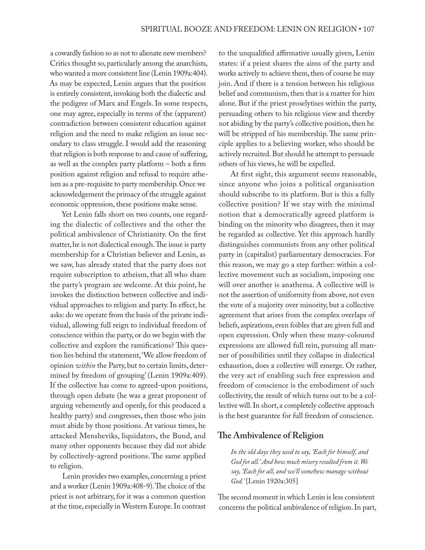a cowardly fashion so as not to alienate new members? Critics thought so, particularly among the anarchists, who wanted a more consistent line (Lenin 1909a:404). As may be expected, Lenin argues that the position is entirely consistent, invoking both the dialectic and the pedigree of Marx and Engels. In some respects, one may agree, especially in terms of the (apparent) contradiction between consistent education against religion and the need to make religion an issue secondary to class struggle. I would add the reasoning that religion is both response to and cause of suffering, as well as the complex party platform – both a firm position against religion and refusal to require atheism as a pre-requisite to party membership. Once we acknowledgement the primacy of the struggle against economic oppression, these positions make sense.

Yet Lenin falls short on two counts, one regarding the dialectic of collectives and the other the political ambivalence of Christianity. On the first matter, he is not dialectical enough. The issue is party membership for a Christian believer and Lenin, as we saw, has already stated that the party does not require subscription to atheism, that all who share the party's program are welcome. At this point, he invokes the distinction between collective and individual approaches to religion and party. In effect, he asks: do we operate from the basis of the private individual, allowing full reign to individual freedom of conscience within the party, or do we begin with the collective and explore the ramifications? This question lies behind the statement, 'We allow freedom of opinion *within* the Party, but to certain limits, determined by freedom of grouping' (Lenin 1909a:409). If the collective has come to agreed-upon positions, through open debate (he was a great proponent of arguing vehemently and openly, for this produced a healthy party) and congresses, then those who join must abide by those positions. At various times, he attacked Mensheviks, liquidators, the Bund, and many other opponents because they did not abide by collectively-agreed positions. The same applied to religion.

Lenin provides two examples, concerning a priest and a worker (Lenin 1909a:408-9). The choice of the priest is not arbitrary, for it was a common question at the time, especially in Western Europe. In contrast to the unqualified affirmative usually given, Lenin states: if a priest shares the aims of the party and works actively to achieve them, then of course he may join. And if there is a tension between his religious belief and communism, then that is a matter for him alone. But if the priest proselytises within the party, persuading others to his religious view and thereby not abiding by the party's collective position, then he will be stripped of his membership. The same principle applies to a believing worker, who should be actively recruited. But should he attempt to persuade others of his views, he will be expelled.

At first sight, this argument seems reasonable, since anyone who joins a political organisation should subscribe to its platform. But is this a fully collective position? If we stay with the minimal notion that a democratically agreed platform is binding on the minority who disagrees, then it may be regarded as collective. Yet this approach hardly distinguishes communists from any other political party in (capitalist) parliamentary democracies. For this reason, we may go a step further: within a collective movement such as socialism, imposing one will over another is anathema. A collective will is not the assertion of uniformity from above, not even the vote of a majority over minority, but a collective agreement that arises from the complex overlaps of beliefs, aspirations, even foibles that are given full and open expression. Only when these many-coloured expressions are allowed full rein, pursuing all manner of possibilities until they collapse in dialectical exhaustion, does a collective will emerge. Or rather, the very act of enabling such free expression and freedom of conscience is the embodiment of such collectivity, the result of which turns out to be a collective will. In short, a completely collective approach is the best guarantee for full freedom of conscience.

# **The Ambivalence of Religion**

*In the old days they used to say, 'Each for himself, and God for all.' And how much misery resulted from it. We say, 'Each for all, and we'll somehow manage without God.'* [Lenin 1920a:305]

The second moment in which Lenin is less consistent concerns the political ambivalence of religion. In part,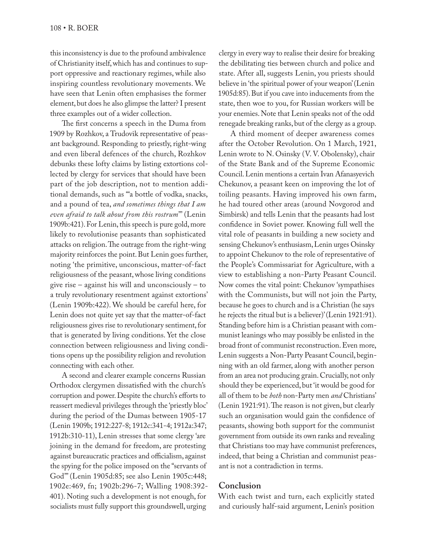this inconsistency is due to the profound ambivalence of Christianity itself, which has and continues to support oppressive and reactionary regimes, while also inspiring countless revolutionary movements. We have seen that Lenin often emphasises the former element, but does he also glimpse the latter? I present three examples out of a wider collection.

The first concerns a speech in the Duma from 1909 by Rozhkov, a Trudovik representative of peasant background. Responding to priestly, right-wing and even liberal defences of the church, Rozhkov debunks these lofty claims by listing extortions collected by clergy for services that should have been part of the job description, not to mention additional demands, such as '"a bottle of vodka, snacks, and a pound of tea, *and sometimes things that I am even afraid to talk about from this rostrum*"' (Lenin 1909b:421). For Lenin, this speech is pure gold, more likely to revolutionise peasants than sophisticated attacks on religion. The outrage from the right-wing majority reinforces the point. But Lenin goes further, noting 'the primitive, unconscious, matter-of-fact religiousness of the peasant, whose living conditions give rise – against his will and unconsciously – to a truly revolutionary resentment against extortions' (Lenin 1909b:422). We should be careful here, for Lenin does not quite yet say that the matter-of-fact religiousness gives rise to revolutionary sentiment, for that is generated by living conditions. Yet the close connection between religiousness and living conditions opens up the possibility religion and revolution connecting with each other.

A second and clearer example concerns Russian Orthodox clergymen dissatisfied with the church's corruption and power. Despite the church's efforts to reassert medieval privileges through the 'priestly bloc' during the period of the Dumas between 1905-17 (Lenin 1909b; 1912:227-8; 1912c:341-4; 1912a:347; 1912b:310-11), Lenin stresses that some clergy 'are joining in the demand for freedom, are protesting against bureaucratic practices and officialism, against the spying for the police imposed on the "servants of God"' (Lenin 1905d:85; see also Lenin 1905c:448; 1902e:469, fn; 1902b:296-7; Walling 1908:392- 401). Noting such a development is not enough, for socialists must fully support this groundswell, urging

clergy in every way to realise their desire for breaking the debilitating ties between church and police and state. After all, suggests Lenin, you priests should believe in 'the spiritual power of your weapon' (Lenin 1905d:85). But if you cave into inducements from the state, then woe to you, for Russian workers will be your enemies. Note that Lenin speaks not of the odd renegade breaking ranks, but of the clergy as a group.

A third moment of deeper awareness comes after the October Revolution. On 1 March, 1921, Lenin wrote to N. Osinsky (V. V. Obolensky), chair of the State Bank and of the Supreme Economic Council. Lenin mentions a certain Ivan Afanasyevich Chekunov, a peasant keen on improving the lot of toiling peasants. Having improved his own farm, he had toured other areas (around Novgorod and Simbirsk) and tells Lenin that the peasants had lost confidence in Soviet power. Knowing full well the vital role of peasants in building a new society and sensing Chekunov's enthusiasm, Lenin urges Osinsky to appoint Chekunov to the role of representative of the People's Commissariat for Agriculture, with a view to establishing a non-Party Peasant Council. Now comes the vital point: Chekunov 'sympathises with the Communists, but will not join the Party, because he goes to church and is a Christian (he says he rejects the ritual but is a believer)' (Lenin 1921:91). Standing before him is a Christian peasant with communist leanings who may possibly be enlisted in the broad front of communist reconstruction. Even more, Lenin suggests a Non-Party Peasant Council, beginning with an old farmer, along with another person from an area not producing grain. Crucially, not only should they be experienced, but 'it would be good for all of them to be *both* non-Party men *and* Christians' (Lenin 1921:91). The reason is not given, but clearly such an organisation would gain the confidence of peasants, showing both support for the communist government from outside its own ranks and revealing that Christians too may have communist preferences, indeed, that being a Christian and communist peasant is not a contradiction in terms.

# **Conclusion**

With each twist and turn, each explicitly stated and curiously half-said argument, Lenin's position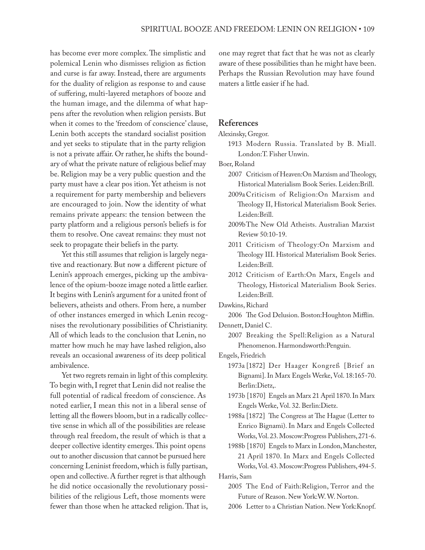has become ever more complex. The simplistic and polemical Lenin who dismisses religion as fiction and curse is far away. Instead, there are arguments for the duality of religion as response to and cause of suffering, multi-layered metaphors of booze and the human image, and the dilemma of what happens after the revolution when religion persists. But when it comes to the 'freedom of conscience' clause, Lenin both accepts the standard socialist position and yet seeks to stipulate that in the party religion is not a private affair. Or rather, he shifts the boundary of what the private nature of religious belief may be. Religion may be a very public question and the party must have a clear pos ition. Yet atheism is not a requirement for party membership and believers are encouraged to join. Now the identity of what remains private appears: the tension between the party platform and a religious person's beliefs is for them to resolve. One caveat remains: they must not seek to propagate their beliefs in the party.

Yet this still assumes that religion is largely negative and reactionary. But now a different picture of Lenin's approach emerges, picking up the ambivalence of the opium-booze image noted a little earlier. It begins with Lenin's argument for a united front of believers, atheists and others. From here, a number of other instances emerged in which Lenin recognises the revolutionary possibilities of Christianity. All of which leads to the conclusion that Lenin, no matter how much he may have lashed religion, also reveals an occasional awareness of its deep political ambivalence.

Yet two regrets remain in light of this complexity. To begin with, I regret that Lenin did not realise the full potential of radical freedom of conscience. As noted earlier, I mean this not in a liberal sense of letting all the flowers bloom, but in a radically collective sense in which all of the possibilities are release through real freedom, the result of which is that a deeper collective identity emerges. This point opens out to another discussion that cannot be pursued here concerning Leninist freedom, which is fully partisan, open and collective. A further regret is that although he did notice occasionally the revolutionary possibilities of the religious Left, those moments were fewer than those when he attacked religion. That is,

one may regret that fact that he was not as clearly aware of these possibilities than he might have been. Perhaps the Russian Revolution may have found maters a little easier if he had.

#### **References**

Alexinsky, Gregor.

1913 Modern Russia. Translated by B. Miall. London:T. Fisher Unwin.

Boer, Roland

- 2007 Criticism of Heaven:On Marxism and Theology, Historical Materialism Book Series. Leiden:Brill.
- 2009aCriticism of Religion:On Marxism and Theology II, Historical Materialism Book Series. Leiden:Brill.
- 2009bThe New Old Atheists. Australian Marxist Review 50:10-19.
- 2011 Criticism of Theology:On Marxism and Theology III. Historical Materialism Book Series. Leiden:Brill.
- 2012 Criticism of Earth:On Marx, Engels and Theology, Historical Materialism Book Series. Leiden:Brill.

Dawkins, Richard

2006 The God Delusion. Boston:Houghton Mifflin. Dennett, Daniel C.

2007 Breaking the Spell:Religion as a Natural Phenomenon. Harmondsworth:Penguin.

Engels, Friedrich

- 1973a [1872] Der Haager Kongreß [Brief an Bignami]. In Marx Engels Werke, Vol. 18:165-70. Berlin:Dietz,.
- 1973b [1870] Engels an Marx 21 April 1870. In Marx Engels Werke, Vol. 32. Berlin:Dietz.
- 1988a [1872] The Congress at The Hague (Letter to Enrico Bignami). In Marx and Engels Collected Works, Vol. 23. Moscow:Progress Publishers, 271-6.
- 1988b [1870] Engels to Marx in London, Manchester, 21 April 1870. In Marx and Engels Collected Works, Vol. 43. Moscow:Progress Publishers, 494-5.

Harris, Sam

- 2005 The End of Faith:Religion, Terror and the Future of Reason. New York:W. W. Norton.
- 2006 Letter to a Christian Nation. New York:Knopf.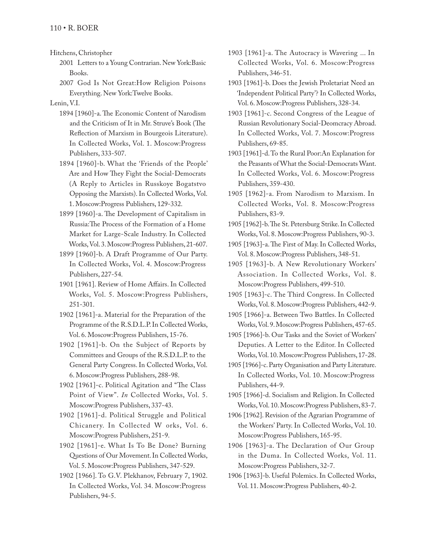Hitchens, Christopher

- 2001 Letters to a Young Contrarian. New York:Basic Books.
- 2007 God Is Not Great:How Religion Poisons Everything. New York:Twelve Books.

Lenin, V.I.

- 1894 [1960]-a. The Economic Content of Narodism and the Criticism of It in Mr. Struve's Book (The Reflection of Marxism in Bourgeois Literature). In Collected Works, Vol. 1. Moscow:Progress Publishers, 333-507.
- 1894 [1960]-b. What the 'Friends of the People' Are and How They Fight the Social-Democrats (A Reply to Articles in Russkoye Bogatstvo Opposing the Marxists). In Collected Works, Vol. 1. Moscow:Progress Publishers, 129-332.
- 1899 [1960]-a. The Development of Capitalism in Russia:The Process of the Formation of a Home Market for Large-Scale Industry. In Collected Works, Vol. 3. Moscow:Progress Publishers, 21-607.
- 1899 [1960]-b. A Draft Programme of Our Party. In Collected Works, Vol. 4. Moscow:Progress Publishers, 227-54.
- 1901 [1961]. Review of Home Affairs. In Collected Works, Vol. 5. Moscow:Progress Publishers, 251-301.
- 1902 [1961]-a. Material for the Preparation of the Programme of the R.S.D.L.P. In Collected Works, Vol. 6. Moscow:Progress Publishers, 15-76.
- 1902 [1961]-b. On the Subject of Reports by Committees and Groups of the R.S.D.L.P. to the General Party Congress. In Collected Works, Vol. 6. Moscow:Progress Publishers, 288-98.
- 1902 [1961]-c. Political Agitation and "The Class Point of View". *In* Collected Works, Vol. 5. Moscow:Progress Publishers, 337-43.
- 1902 [1961]-d. Political Struggle and Political Chicanery. In Collected W orks, Vol. 6. Moscow:Progress Publishers, 251-9.
- 1902 [1961]-e. What Is To Be Done? Burning Questions of Our Movement. In Collected Works, Vol. 5. Moscow:Progress Publishers, 347-529.
- 1902 [1966]. To G.V. Plekhanov, February 7, 1902. In Collected Works, Vol. 34. Moscow:Progress Publishers, 94-5.
- 1903 [1961]-a. The Autocracy is Wavering ... In Collected Works, Vol. 6. Moscow:Progress Publishers, 346-51.
- 1903 [1961]-b. Does the Jewish Proletariat Need an 'Independent Political Party'? In Collected Works, Vol. 6. Moscow:Progress Publishers, 328-34.
- 1903 [1961]-c. Second Congress of the League of Russian Revolutionary Social-Deomcracy Abroad. In Collected Works, Vol. 7. Moscow:Progress Publishers, 69-85.
- 1903 [1961]-d. To the Rural Poor:An Explanation for the Peasants of What the Social-Democrats Want. In Collected Works, Vol. 6. Moscow:Progress Publishers, 359-430.
- 1905 [1962]-a. From Narodism to Marxism. In Collected Works, Vol. 8. Moscow:Progress Publishers, 83-9.
- 1905 [1962]-b. The St. Petersburg Strike. In Collected Works, Vol. 8. Moscow:Progress Publishers, 90-3.
- 1905 [1963]-a. The First of May. In Collected Works, Vol. 8. Moscow:Progress Publishers, 348-51.
- 1905 [1963]-b. A New Revolutionary Workers' Association. In Collected Works, Vol. 8. Moscow:Progress Publishers, 499-510.
- 1905 [1963]-c. The Third Congress. In Collected Works, Vol. 8. Moscow:Progress Publishers, 442-9.
- 1905 [1966]-a. Between Two Battles. In Collected Works, Vol. 9. Moscow:Progress Publishers, 457-65.
- 1905 [1966]-b. Our Tasks and the Soviet of Workers' Deputies. A Letter to the Editor. In Collected Works, Vol. 10. Moscow:Progress Publishers, 17-28.
- 1905 [1966]-c. Party Organisation and Party Literature. In Collected Works, Vol. 10. Moscow:Progress Publishers, 44-9.
- 1905 [1966]-d. Socialism and Religion. In Collected Works, Vol. 10. Moscow:Progress Publishers, 83-7.
- 1906 [1962]. Revision of the Agrarian Programme of the Workers' Party. In Collected Works, Vol. 10. Moscow:Progress Publishers, 165-95.
- 1906 [1963]-a. The Declaration of Our Group in the Duma. In Collected Works, Vol. 11. Moscow:Progress Publishers, 32-7.
- 1906 [1963]-b. Useful Polemics. In Collected Works, Vol. 11. Moscow:Progress Publishers, 40-2.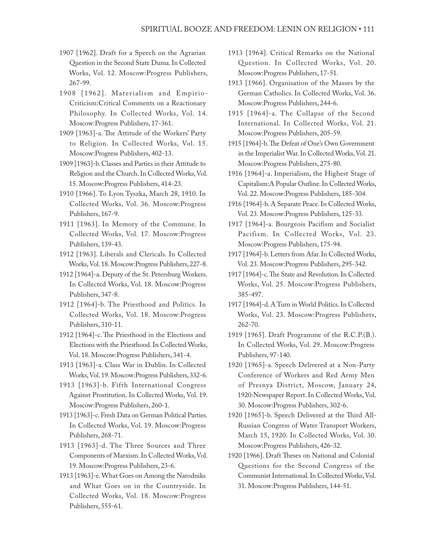- 1907 [1962]. Draft for a Speech on the Agrarian Question in the Second State Duma. In Collected Works, Vol. 12. Moscow:Progress Publishers, 267-99.
- 1908 [1962]. Materialism and Empirio-Criticism:Critical Comments on a Reactionary Philosophy. In Collected Works, Vol. 14. Moscow:Progress Publishers, 17-361.
- 1909 [1963]-a. The Attitude of the Workers' Party to Religion. In Collected Works, Vol. 15. Moscow:Progress Publishers, 402-13.
- 1909 [1963]-b. Classes and Parties in their Attitude to Religion and the Church. In Collected Works, Vol. 15. Moscow:Progress Publishers, 414-23.
- 1910 [1966]. To Lyon Tyszka, March 28, 1910. In Collected Works, Vol. 36. Moscow:Progress Publishers, 167-9.
- 1911 [1963]. In Memory of the Commune. In Collected Works, Vol. 17. Moscow:Progress Publishers, 139-43.
- 1912 [1963]. Liberals and Clericals. In Collected Works, Vol. 18. Moscow:Progress Publishers, 227-8.
- 1912 [1964]-a. Deputy of the St. Petersburg Workers. In Collected Works, Vol. 18. Moscow:Progress Publishers, 347-8.
- 1912 [1964]-b. The Priesthood and Politics. In Collected Works, Vol. 18. Moscow:Progress Publishers, 310-11.
- 1912 [1964]-c. The Priesthood in the Elections and Elections with the Priesthood. In Collected Works, Vol. 18. Moscow:Progress Publishers, 341-4.
- 1913 [1963]-a. Class War in Dublin. In Collected Works, Vol. 19. Moscow:Progress Publishers, 332-6.
- 1913 [1963]-b. Fifth International Congress Against Prostitution. In Collected Works, Vol. 19. Moscow:Progress Publishers, 260-1.
- 1913 [1963]-c. Fresh Data on German Political Parties. In Collected Works, Vol. 19. Moscow:Progress Publishers, 268-71.
- 1913 [1963]-d. The Three Sources and Three Components of Marxism. In Collected Works, Vol. 19. Moscow:Progress Publishers, 23-6.
- 1913 [1963]-e. What Goes on Among the Narodniks and What Goes on in the Countryside. In Collected Works, Vol. 18. Moscow:Progress Publishers, 555-61.
- 1913 [1964]. Critical Remarks on the National Question. In Collected Works, Vol. 20. Moscow:Progress Publishers, 17-51.
- 1913 [1966]. Organisation of the Masses by the German Catholics. In Collected Works, Vol. 36. Moscow:Progress Publishers, 244-6.
- 1915 [1964]-a. The Collapse of the Second International. In Collected Works, Vol. 21. Moscow:Progress Publishers, 205-59.
- 1915 [1964]-b. The Defeat of One's Own Government in the Imperialist War. In Collected Works, Vol. 21. Moscow:Progress Publishers, 275-80.
- 1916 [1964]-a. Imperialism, the Highest Stage of Capitalism:A Popular Outline. In Collected Works, Vol. 22. Moscow:Progress Publishers, 185-304.
- 1916 [1964]-b. A Separate Peace. In Collected Works, Vol. 23. Moscow:Progress Publishers, 125-33.
- 1917 [1964]-a. Bourgeois Pacifism and Socialist Pacifism. In Collected Works, Vol. 23. Moscow:Progress Publishers, 175-94.
- 1917 [1964]-b. Letters from Afar. In Collected Works, Vol. 23. Moscow:Progress Publishers, 295-342.
- 1917 [1964]-c. The State and Revolution. In Collected Works, Vol. 25. Moscow:Progress Publishers, 385-497.
- 1917 [1964]-d. A Turn in World Politics. In Collected Works, Vol. 23. Moscow:Progress Publishers, 262-70.
- 1919 [1965]. Draft Programme of the R.C.P.(B.). In Collected Works, Vol. 29. Moscow:Progress Publishers, 97-140.
- 1920 [1965]-a. Speech Delivered at a Non-Party Conference of Workers and Red Army Men of Presnya District, Moscow, January 24, 1920:Newspaper Report. In Collected Works, Vol. 30. Moscow:Progress Publishers, 302-6.
- 1920 [1965]-b. Speech Delivered at the Third All-Russian Congress of Water Transport Workers, March 15, 1920. In Collected Works, Vol. 30. Moscow:Progress Publishers, 426-32.
- 1920 [1966]. Draft Theses on National and Colonial Questions for the Second Congress of the Communist International. In Collected Works, Vol. 31. Moscow:Progress Publishers, 144-51.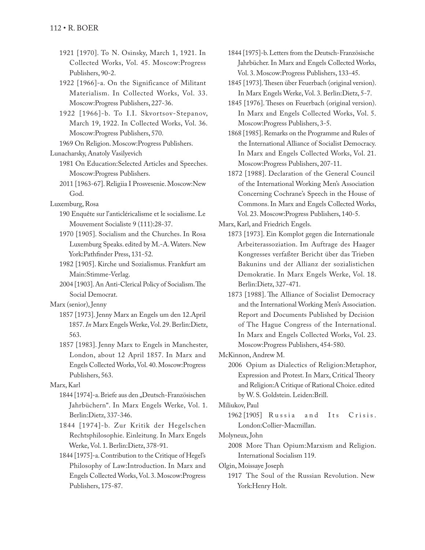- 1921 [1970]. To N. Osinsky, March 1, 1921. In Collected Works, Vol. 45. Moscow:Progress Publishers, 90-2.
- 1922 [1966]-a. On the Significance of Militant Materialism. In Collected Works, Vol. 33. Moscow:Progress Publishers, 227-36.
- 1922 [1966]-b. To I.I. Skvortsov-Stepanov, March 19, 1922. In Collected Works, Vol. 36. Moscow:Progress Publishers, 570.
- 1969 On Religion. Moscow:Progress Publishers.
- Lunacharsky, Anatoly Vasilyevich
	- 1981 On Education:Selected Articles and Speeches. Moscow:Progress Publishers.
	- 2011 [1963-67]. Religiia I Prosvesenie. Moscow:New God.
- Luxemburg, Rosa
	- 190 Enquête sur l'anticléricalisme et le socialisme. Le Mouvement Socialiste 9 (111):28-37.
	- 1970 [1905]. Socialism and the Churches. In Rosa Luxemburg Speaks. edited by M.-A. Waters. New York:Pathfinder Press, 131-52.
	- 1982 [1905]. Kirche und Sozialismus. Frankfurt am Main:Stimme-Verlag.
	- 2004 [1903]. An Anti-Clerical Policy of Socialism. The Social Democrat.
- Marx (senior), Jenny
	- 1857 [1973]. Jenny Marx an Engels um den 12.April 1857. *In* Marx Engels Werke, Vol. 29. Berlin:Dietz, 563.
	- 1857 [1983]. Jenny Marx to Engels in Manchester, London, about 12 April 1857. In Marx and Engels Collected Works, Vol. 40. Moscow:Progress Publishers, 563.

Marx, Karl

- 1844 [1974]-a. Briefe aus den "Deutsch-Französischen Jahrbüchern". In Marx Engels Werke, Vol. 1. Berlin:Dietz, 337-346.
- 1844 [1974]-b. Zur Kritik der Hegelschen Rechtsphilosophie. Einleitung. In Marx Engels Werke, Vol. 1. Berlin:Dietz, 378-91.
- 1844 [1975]-a. Contribution to the Critique of Hegel's Philosophy of Law:Introduction. In Marx and Engels Collected Works, Vol. 3. Moscow:Progress Publishers, 175-87.
- 1844 [1975]-b. Letters from the Deutsch-Französische Jahrbücher. In Marx and Engels Collected Works, Vol. 3. Moscow:Progress Publishers, 133-45.
- 1845 [1973]. Thesen über Feuerbach (original version). In Marx Engels Werke, Vol. 3. Berlin:Dietz, 5-7.
- 1845 [1976]. Theses on Feuerbach (original version). In Marx and Engels Collected Works, Vol. 5. Moscow:Progress Publishers, 3-5.
- 1868 [1985]. Remarks on the Programme and Rules of the International Alliance of Socialist Democracy. In Marx and Engels Collected Works, Vol. 21. Moscow:Progress Publishers, 207-11.
- 1872 [1988]. Declaration of the General Council of the International Working Men's Association Concerning Cochrane's Speech in the House of Commons. In Marx and Engels Collected Works, Vol. 23. Moscow:Progress Publishers, 140-5.

Marx, Karl, and Friedrich Engels.

- 1873 [1973]. Ein Komplot gegen die Internationale Arbeiterassoziation. Im Auftrage des Haager Kongresses verfaßter Bericht über das Trieben Bakunins und der Allianz der sozialistichen Demokratie. In Marx Engels Werke, Vol. 18. Berlin:Dietz, 327-471.
- 1873 [1988]. The Alliance of Socialist Democracy and the International Working Men's Association. Report and Documents Published by Decision of The Hague Congress of the International. In Marx and Engels Collected Works, Vol. 23. Moscow:Progress Publishers, 454-580.

McKinnon, Andrew M.

2006 Opium as Dialectics of Religion:Metaphor, Expression and Protest. In Marx, Critical Theory and Religion:A Critique of Rational Choice. edited by W. S. Goldstein. Leiden:Brill.

Miliukov, Paul

1962 [1905] Russia and Its Crisis. London:Collier-Macmillan.

Molyneux, John

2008 More Than Opium:Marxism and Religion. International Socialism 119.

Olgin, Moissaye Joseph

1917 The Soul of the Russian Revolution. New York:Henry Holt.